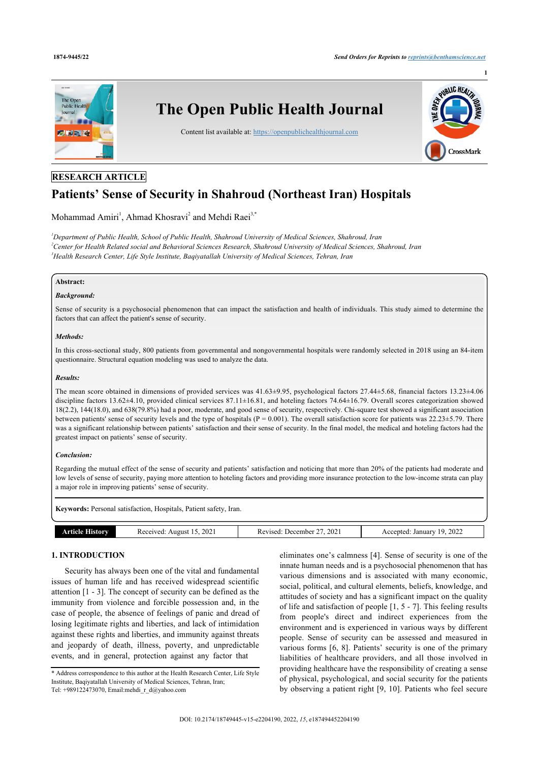

# **RESEARCH ARTICLE**

# **Patients' Sense of Security in Shahroud (Northeast Iran) Hospitals**

Mohammad Amiri<sup>[1](#page-0-0)</sup>, Ahmad Khosravi<sup>[2](#page-0-1)</sup> and Mehdi Raei<sup>[3,](#page-0-2)[\\*](#page-0-3)</sup>

<span id="page-0-2"></span><span id="page-0-1"></span><span id="page-0-0"></span>*<sup>1</sup>Department of Public Health, School of Public Health, Shahroud University of Medical Sciences, Shahroud, Iran <sup>2</sup>Center for Health Related social and Behavioral Sciences Research, Shahroud University of Medical Sciences, Shahroud, Iran <sup>3</sup>Health Research Center, Life Style Institute, Baqiyatallah University of Medical Sciences, Tehran, Iran*

# **Abstract:**

# *Background:*

Sense of security is a psychosocial phenomenon that can impact the satisfaction and health of individuals. This study aimed to determine the factors that can affect the patient's sense of security.

### *Methods:*

In this cross-sectional study, 800 patients from governmental and nongovernmental hospitals were randomly selected in 2018 using an 84-item questionnaire. Structural equation modeling was used to analyze the data.

## *Results:*

The mean score obtained in dimensions of provided services was 41.63±9.95, psychological factors 27.44±5.68, financial factors 13.23±4.06 discipline factors 13.62±4.10, provided clinical services 87.11±16.81, and hoteling factors 74.64±16.79. Overall scores categorization showed 18(2.2), 144(18.0), and 638(79.8%) had a poor, moderate, and good sense of security, respectively. Chi-square test showed a significant association between patients' sense of security levels and the type of hospitals ( $P = 0.001$ ). The overall satisfaction score for patients was 22.23±5.79. There was a significant relationship between patients' satisfaction and their sense of security. In the final model, the medical and hoteling factors had the greatest impact on patients' sense of security.

# *Conclusion:*

Regarding the mutual effect of the sense of security and patients' satisfaction and noticing that more than 20% of the patients had moderate and low levels of sense of security, paying more attention to hoteling factors and providing more insurance protection to the low-income strata can play a major role in improving patients' sense of security.

**Keywords:** Personal satisfaction, Hospitals, Patient safety, Iran.

| Armele I<br>History | 15, 2021<br>Received: Au<br>August | 202<br>Revised:<br>December | 2022<br>10<br>Accepted:<br>January<br>--- |
|---------------------|------------------------------------|-----------------------------|-------------------------------------------|

# **1. INTRODUCTION**

Security has always been one of the vital and fundamental issues of human life and has received widespread scientific attention [\[1](#page-7-0) - [3\]](#page-7-1). The concept of security can be defined as the immunity from violence and forcible possession and, in the case of people, the absence of feelings of panic and dread of losing legitimate rights and liberties, and lack of intimidation against these rights and liberties, and immunity against threats and jeopardy of death, illness, poverty, and unpredictable events, and in general, protection against any factor that

eliminates one's calmness [\[4\]](#page-7-2). Sense of security is one of the innate human needs and is a psychosocial phenomenon that has various dimensions and is associated with many economic, social, political, and cultural elements, beliefs, knowledge, and attitudes of society and has a significant impact on the quality of life and satisfaction of people [[1](#page-7-0), [5](#page-7-3) - [7](#page-7-4)]. This feeling results from people's direct and indirect experiences from the environment and is experienced in various ways by different people. Sense of security can be assessed and measured in various forms [[6,](#page-7-5) [8\]](#page-7-6). Patients' security is one of the primary liabilities of healthcare providers, and all those involved in providing healthcare have the responsibility of creating a sense of physical, psychological, and social security for the patients by observing a patient right [\[9](#page-7-7), [10\]](#page-7-8). Patients who feel secure

<span id="page-0-3"></span><sup>\*</sup> Address correspondence to this author at the Health Research Center, Life Style Institute, Baqiyatallah University of Medical Sciences, Tehran, Iran; Tel: +989122473070, Email:[mehdi\\_r\\_d@yahoo.com](mailto:mehdi_r_d@yahoo.com)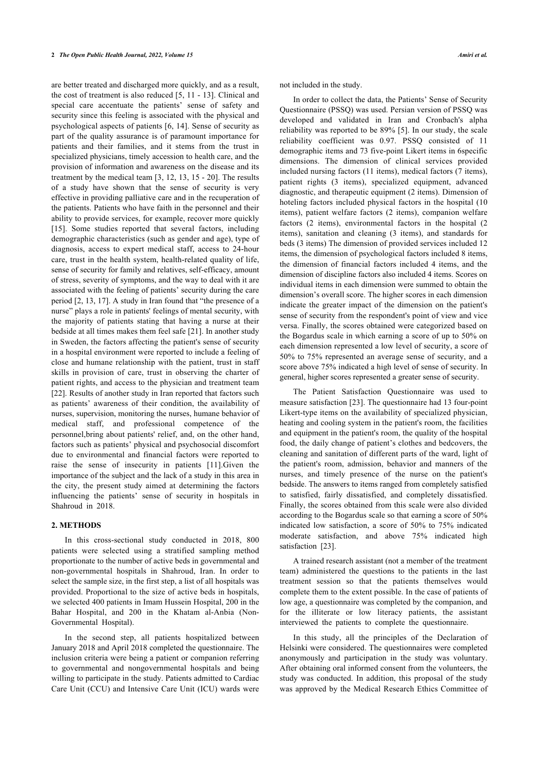are better treated and discharged more quickly, and as a result, the cost of treatment is also reduced [[5,](#page-7-3) [11](#page-7-9) - [13](#page-7-10)]. Clinical and special care accentuate the patients' sense of safety and security since this feeling is associated with the physical and psychological aspects of patients [[6,](#page-7-5) [14\]](#page-7-11). Sense of security as part of the quality assurance is of paramount importance for patients and their families, and it stems from the trust in specialized physicians, timely accession to health care, and the provision of information and awareness on the disease and its treatment by the medical team [[3,](#page-7-1) [12,](#page-7-12) [13,](#page-7-10) [15](#page-7-13) - [20\]](#page-7-14). The results of a study have shown that the sense of security is very effective in providing palliative care and in the recuperation of the patients. Patients who have faith in the personnel and their ability to provide services, for example, recover more quickly [[15\]](#page-7-13). Some studies reported that several factors, including demographic characteristics (such as gender and age), type of diagnosis, access to expert medical staff, access to 24-hour care, trust in the health system, health-related quality of life, sense of security for family and relatives, self-efficacy, amount of stress, severity of symptoms, and the way to deal with it are associated with the feeling of patients' security during the care period [\[2,](#page-7-15) [13](#page-7-10), [17\]](#page-7-16). A study in Iran found that "the presence of a nurse" plays a role in patients' feelings of mental security, with the majority of patients stating that having a nurse at their bedside at all times makes them feel safe [[21\]](#page-7-1). In another study in Sweden, the factors affecting the patient's sense of security in a hospital environment were reported to include a feeling of close and humane relationship with the patient, trust in staff skills in provision of care, trust in observing the charter of patient rights, and access to the physician and treatment team [[22\]](#page-7-17). Results of another study in Iran reported that factors such as patients' awareness of their condition, the availability of nurses, supervision, monitoring the nurses, humane behavior of medical staff, and professional competence of the personnel,bring about patients' relief, and, on the other hand, factors such as patients' physical and psychosocial discomfort due to environmental and financial factors were reported to raise the sense of insecurity in patients[[11](#page-7-9)].Given the importance of the subject and the lack of a study in this area in the city, the present study aimed at determining the factors influencing the patients' sense of security in hospitals in Shahroud in 2018.

# **2. METHODS**

In this cross-sectional study conducted in 2018, 800 patients were selected using a stratified sampling method proportionate to the number of active beds in governmental and non-governmental hospitals in Shahroud, Iran. In order to select the sample size, in the first step, a list of all hospitals was provided. Proportional to the size of active beds in hospitals, we selected 400 patients in Imam Hussein Hospital, 200 in the Bahar Hospital, and 200 in the Khatam al-Anbia (Non-Governmental Hospital).

In the second step, all patients hospitalized between January 2018 and April 2018 completed the questionnaire. The inclusion criteria were being a patient or companion referring to governmental and nongovernmental hospitals and being willing to participate in the study. Patients admitted to Cardiac Care Unit (CCU) and Intensive Care Unit (ICU) wards were not included in the study.

In order to collect the data, the Patients' Sense of Security Questionnaire (PSSQ) was used. Persian version of PSSQ was developed and validated in Iran and Cronbach's alpha reliability was reported to be 89% [[5](#page-7-3)]. In our study, the scale reliability coefficient was 0.97. PSSQ consisted of 11 demographic items and 73 five-point Likert items in 6specific dimensions. The dimension of clinical services provided included nursing factors (11 items), medical factors (7 items), patient rights (3 items), specialized equipment, advanced diagnostic, and therapeutic equipment (2 items). Dimension of hoteling factors included physical factors in the hospital (10 items), patient welfare factors (2 items), companion welfare factors (2 items), environmental factors in the hospital (2 items), sanitation and cleaning (3 items), and standards for beds (3 items) The dimension of provided services included 12 items, the dimension of psychological factors included 8 items, the dimension of financial factors included 4 items, and the dimension of discipline factors also included 4 items. Scores on individual items in each dimension were summed to obtain the dimension's overall score. The higher scores in each dimension indicate the greater impact of the dimension on the patient's sense of security from the respondent's point of view and vice versa. Finally, the scores obtained were categorized based on the Bogardus scale in which earning a score of up to 50% on each dimension represented a low level of security, a score of 50% to 75% represented an average sense of security, and a score above 75% indicated a high level of sense of security. In general, higher scores represented a greater sense of security.

The Patient Satisfaction Questionnaire was used to measure satisfaction [[23](#page-7-18)]. The questionnaire had 13 four-point Likert-type items on the availability of specialized physician, heating and cooling system in the patient's room, the facilities and equipment in the patient's room, the quality of the hospital food, the daily change of patient's clothes and bedcovers, the cleaning and sanitation of different parts of the ward, light of the patient's room, admission, behavior and manners of the nurses, and timely presence of the nurse on the patient's bedside. The answers to items ranged from completely satisfied to satisfied, fairly dissatisfied, and completely dissatisfied. Finally, the scores obtained from this scale were also divided according to the Bogardus scale so that earning a score of 50% indicated low satisfaction, a score of 50% to 75% indicated moderate satisfaction, and above 75% indicated high satisfaction [\[23](#page-7-18)].

A trained research assistant (not a member of the treatment team) administered the questions to the patients in the last treatment session so that the patients themselves would complete them to the extent possible. In the case of patients of low age, a questionnaire was completed by the companion, and for the illiterate or low literacy patients, the assistant interviewed the patients to complete the questionnaire.

In this study, all the principles of the Declaration of Helsinki were considered. The questionnaires were completed anonymously and participation in the study was voluntary. After obtaining oral informed consent from the volunteers, the study was conducted. In addition, this proposal of the study was approved by the Medical Research Ethics Committee of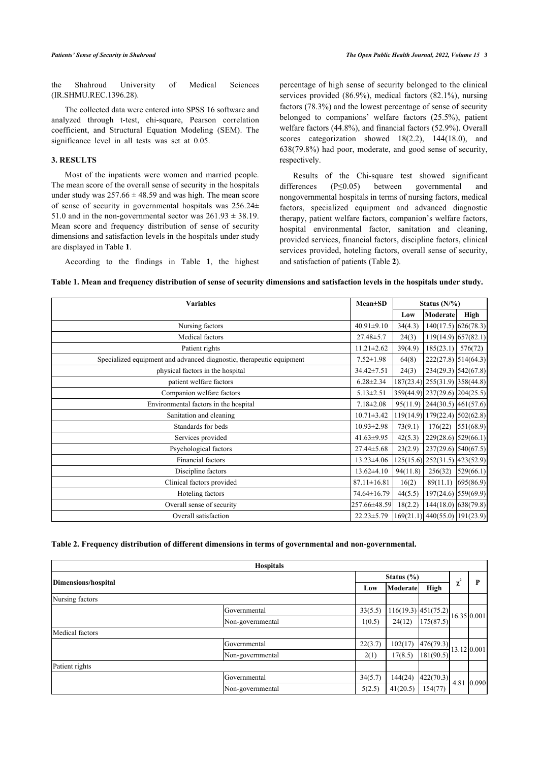the Shahroud University of Medical Sciences (IR.SHMU.REC.1396.28).

The collected data were entered into SPSS 16 software and analyzed through t-test, chi-square, Pearson correlation coefficient, and Structural Equation Modeling (SEM). The significance level in all tests was set at 0.05.

# **3. RESULTS**

Most of the inpatients were women and married people. The mean score of the overall sense of security in the hospitals under study was  $257.66 \pm 48.59$  and was high. The mean score of sense of security in governmental hospitals was  $256.24 \pm$ 51.0 and in the non-governmental sector was  $261.93 \pm 38.19$ . Mean score and frequency distribution of sense of security dimensions and satisfaction levels in the hospitals under study are displayed in Table **[1](#page-2-0)**.

According to the findings in Table**1**, the highest

percentage of high sense of security belonged to the clinical services provided (86.9%), medical factors (82.1%), nursing factors (78.3%) and the lowest percentage of sense of security belonged to companions' welfare factors (25.5%), patient welfare factors (44.8%), and financial factors (52.9%). Overall scores categorization showed 18(2.2), 144(18.0), and 638(79.8%) had poor, moderate, and good sense of security, respectively.

Results of the Chi-square test showed significant differences (P≤0.05) between governmental and nongovernmental hospitals in terms of nursing factors, medical factors, specialized equipment and advanced diagnostic therapy, patient welfare factors, companion's welfare factors, hospital environmental factor, sanitation and cleaning, provided services, financial factors, discipline factors, clinical services provided, hoteling facto[rs](#page-2-1), overall sense of security, and satisfaction of patients (Table **2**).

<span id="page-2-0"></span>

|  |  | Table 1. Mean and frequency distribution of sense of security dimensions and satisfaction levels in the hospitals under study. |  |
|--|--|--------------------------------------------------------------------------------------------------------------------------------|--|
|  |  |                                                                                                                                |  |

| <b>Variables</b>                                                     |                   | <b>Mean±SD</b><br>Status $(N\frac{9}{6})$ |                                 |                       |
|----------------------------------------------------------------------|-------------------|-------------------------------------------|---------------------------------|-----------------------|
|                                                                      |                   | Low                                       | <b>Moderate</b>                 | <b>High</b>           |
| Nursing factors                                                      | $40.91 \pm 9.10$  | 34(4.3)                                   |                                 | $140(17.5)$ 626(78.3) |
| Medical factors                                                      | 27.48±5.7         | 24(3)                                     | $119(14.9)$ 657(82.1)           |                       |
| Patient rights                                                       | $11.21 \pm 2.62$  | 39(4.9)                                   | 185(23.1)                       | 576(72)               |
| Specialized equipment and advanced diagnostic, therapeutic equipment | $7.52 \pm 1.98$   | 64(8)                                     | $222(27.8)$ 514(64.3)           |                       |
| physical factors in the hospital                                     | 34.42±7.51        | 24(3)                                     | 234(29.3) 542(67.8)             |                       |
| patient welfare factors                                              | $6.28 \pm 2.34$   |                                           | 187(23.4) 255(31.9) 358(44.8)   |                       |
| Companion welfare factors                                            | $5.13 \pm 2.51$   |                                           | 359(44.9) 237(29.6) 204(25.5)   |                       |
| Environmental factors in the hospital                                | $7.18 \pm 2.08$   | 95(11.9)                                  | $244(30.5)$ 461(57.6)           |                       |
| Sanitation and cleaning                                              | $10.71 \pm 3.42$  |                                           | 119(14.9) 179(22.4) 502(62.8)   |                       |
| Standards for beds                                                   | $10.93 \pm 2.98$  | 73(9.1)                                   | 176(22)                         | 551(68.9)             |
| Services provided                                                    | 41.63±9.95        | 42(5.3)                                   | $229(28.6)$ 529(66.1)           |                       |
| Psychological factors                                                | $27.44 \pm 5.68$  | 23(2.9)                                   | $237(29.6)$ 540(67.5)           |                       |
| Financial factors                                                    | $13.23 \pm 4.06$  |                                           | 125(15.6) 252(31.5) 423(52.9)   |                       |
| Discipline factors                                                   | $13.62 \pm 4.10$  | 94(11.8)                                  | 256(32)                         | 529(66.1)             |
| Clinical factors provided                                            | $87.11 \pm 16.81$ | 16(2)                                     | 89(11.1)                        | 695(86.9)             |
| Hoteling factors                                                     | 74.64±16.79       | 44(5.5)                                   |                                 | 197(24.6) 559(69.9)   |
| Overall sense of security                                            | 257.66±48.59      | 18(2.2)                                   | $144(18.0)$ 638(79.8)           |                       |
| Overall satisfaction                                                 | $22.23 \pm 5.79$  |                                           | $169(21.1)$ 440(55.0) 191(23.9) |                       |

# <span id="page-2-1"></span>**Table 2. Frequency distribution of different dimensions in terms of governmental and non-governmental.**

|                     | <b>Hospitals</b> |         |                |                       |                     |   |  |
|---------------------|------------------|---------|----------------|-----------------------|---------------------|---|--|
| Dimensions/hospital |                  |         | Status $(\% )$ |                       |                     |   |  |
|                     |                  | Low     | Moderatel      | High                  | $\mathbf{v}^*$<br>v | P |  |
| Nursing factors     |                  |         |                |                       |                     |   |  |
|                     | Governmental     | 33(5.5) |                | $116(19.3)$ 451(75.2) |                     |   |  |
|                     | Non-governmental | 1(0.5)  | 24(12)         | 175(87.5)             | 16.35 0.001         |   |  |
| Medical factors     |                  |         |                |                       |                     |   |  |
|                     | Governmental     | 22(3.7) | 102(17)        | 476(79.3)             | 13.12 0.001         |   |  |
|                     | Non-governmental | 2(1)    | 17(8.5)        | 181(90.5)             |                     |   |  |
| Patient rights      |                  |         |                |                       |                     |   |  |
|                     | Governmental     | 34(5.7) | 144(24)        | 422(70.3)             | 0.090<br>4.81       |   |  |
|                     | Non-governmental | 5(2.5)  | 41(20.5)       | 154(77)               |                     |   |  |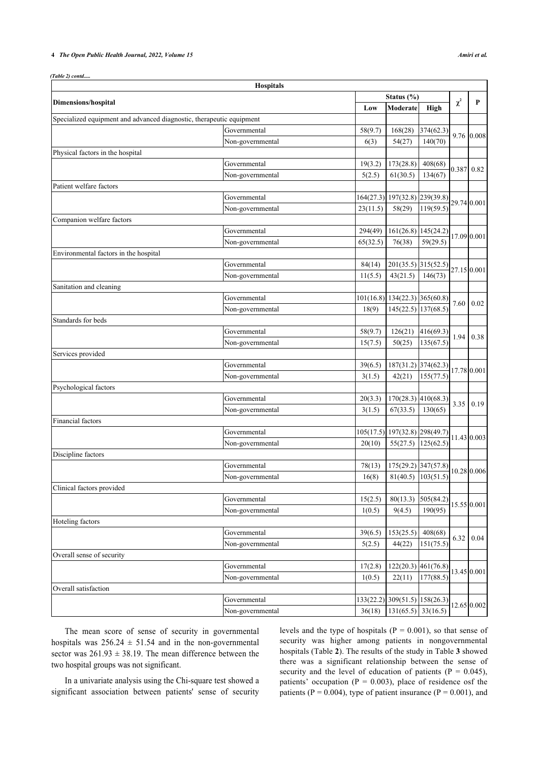#### **4** *The Open Public Health Journal, 2022, Volume 15 Amiri et al.*

*(Table 2) contd.....*

|                                                                      | <b>Hospitals</b> |          |                                 |                       |             |              |
|----------------------------------------------------------------------|------------------|----------|---------------------------------|-----------------------|-------------|--------------|
| <b>Dimensions/hospital</b>                                           |                  |          | Status (%)                      |                       |             | P            |
|                                                                      |                  | Low      | Moderate                        | <b>High</b>           | $\chi^2$    |              |
| Specialized equipment and advanced diagnostic, therapeutic equipment |                  |          |                                 |                       |             |              |
|                                                                      | Governmental     | 58(9.7)  | 168(28)                         | 374(62.3)             |             | $9.76$ 0.008 |
|                                                                      | Non-governmental | 6(3)     | 54(27)                          | 140(70)               |             |              |
| Physical factors in the hospital                                     |                  |          |                                 |                       |             |              |
|                                                                      | Governmental     | 19(3.2)  | 173(28.8)                       | 408(68)               |             | $0.387$ 0.82 |
|                                                                      | Non-governmental | 5(2.5)   | 61(30.5)                        | 134(67)               |             |              |
| Patient welfare factors                                              |                  |          |                                 |                       |             |              |
|                                                                      | Governmental     |          | 164(27.3) 197(32.8) 239(39.8)   |                       | 29.74 0.001 |              |
|                                                                      | Non-governmental | 23(11.5) | 58(29)                          | 119(59.5)             |             |              |
| Companion welfare factors                                            |                  |          |                                 |                       |             |              |
|                                                                      | Governmental     | 294(49)  |                                 | 161(26.8) 145(24.2)   |             | 17.09 0.001  |
|                                                                      | Non-governmental | 65(32.5) | 76(38)                          | 59(29.5)              |             |              |
| Environmental factors in the hospital                                |                  |          |                                 |                       |             |              |
|                                                                      | Governmental     | 84(14)   | 201(35.5) 315(52.5)             |                       | 27.15 0.001 |              |
|                                                                      | Non-governmental | 11(5.5)  | 43(21.5)                        | 146(73)               |             |              |
| Sanitation and cleaning                                              |                  |          |                                 |                       |             |              |
|                                                                      | Governmental     |          | $101(16.8)$ 134(22.3) 365(60.8) |                       | 7.60        |              |
|                                                                      | Non-governmental | 18(9)    | $145(22.5)$ 137(68.5)           |                       |             | 0.02         |
| Standards for beds                                                   |                  |          |                                 |                       |             |              |
|                                                                      | Governmental     | 58(9.7)  | 126(21)                         | 416(69.3)             | 1.94        |              |
|                                                                      | Non-governmental | 15(7.5)  | 50(25)                          | 135(67.5)             |             | 0.38         |
| Services provided                                                    |                  |          |                                 |                       |             |              |
|                                                                      | Governmental     | 39(6.5)  | 187(31.2) 374(62.3)             |                       |             | 17.78 0.001  |
|                                                                      | Non-governmental | 3(1.5)   | 42(21)                          | 155(77.5)             |             |              |
| Psychological factors                                                |                  |          |                                 |                       |             |              |
|                                                                      | Governmental     | 20(3.3)  | $170(28.3)$ 410(68.3)           |                       |             |              |
|                                                                      | Non-governmental | 3(1.5)   | 67(33.5)                        | 130(65)               | 3.35        | 0.19         |
| Financial factors                                                    |                  |          |                                 |                       |             |              |
|                                                                      | Governmental     |          | 105(17.5) 197(32.8) 298(49.7)   |                       |             |              |
|                                                                      | Non-governmental | 20(10)   |                                 | $55(27.5)$ 125(62.5)  |             | 11.43 0.003  |
| Discipline factors                                                   |                  |          |                                 |                       |             |              |
|                                                                      | Governmental     | 78(13)   | 175(29.2) 347(57.8)             |                       |             |              |
|                                                                      | Non-governmental | 16(8)    |                                 | $81(40.5)$ 103(51.5)  |             | 10.28 0.006  |
| Clinical factors provided                                            |                  |          |                                 |                       |             |              |
|                                                                      | Governmental     | 15(2.5)  | 80(13.3)                        | 505(84.2)             |             |              |
|                                                                      | Non-governmental | 1(0.5)   | 9(4.5)                          | 190(95)               |             | 15.55 0.001  |
| Hoteling factors                                                     |                  |          |                                 |                       |             |              |
|                                                                      | Governmental     | 39(6.5)  | 153(25.5)                       | 408(68)               |             | 0.04         |
|                                                                      | Non-governmental | 5(2.5)   | 44(22)                          | 151(75.5)             | 6.32        |              |
| Overall sense of security                                            |                  |          |                                 |                       |             |              |
|                                                                      | Governmental     | 17(2.8)  |                                 | $122(20.3)$ 461(76.8) |             |              |
|                                                                      | Non-governmental | 1(0.5)   | 22(11)                          | 177(88.5)             |             | 13.45 0.001  |
| Overall satisfaction                                                 |                  |          |                                 |                       |             |              |
|                                                                      | Governmental     |          | 133(22.2) 309(51.5) 158(26.3)   |                       |             |              |
|                                                                      | Non-governmental | 36(18)   | $131(65.5)$ 33(16.5)            |                       |             | 12.65 0.002  |
|                                                                      |                  |          |                                 |                       |             |              |

The mean score of sense of security in governmental hospitals was  $256.24 \pm 51.54$  and in the non-governmental sector was  $261.93 \pm 38.19$ . The mean difference between the two hospital groups was not significant.

In a univariate analysis using the Chi-square test showed a significant association between patients' sense of security levels and the type of hospitals ( $P = 0.001$ ), so that sense of security was higher among patients in nongovernmental hospitals (Table **[2](#page-2-1)**). The results of the study in Table **[3](#page-4-0)** showed there was a significant relationship between the sense of security and the level of education of patients ( $P = 0.045$ ), patients' occupation ( $P = 0.003$ ), place of residence osf the patients ( $P = 0.004$ ), type of patient insurance ( $P = 0.001$ ), and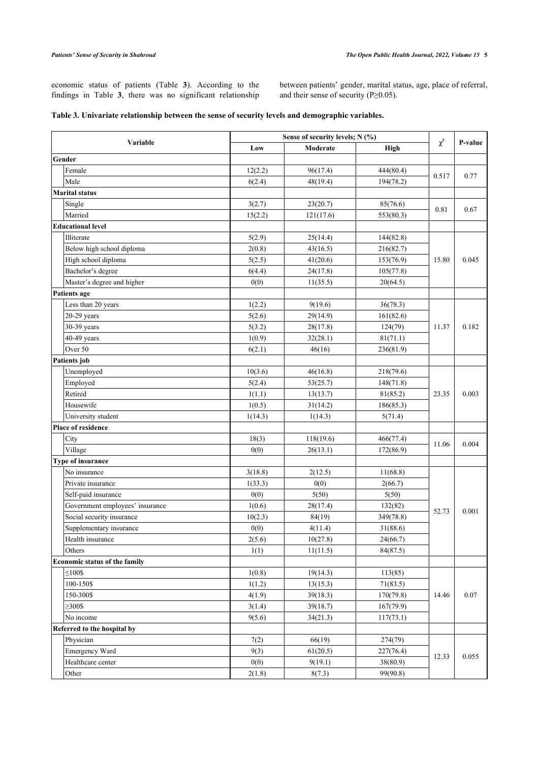economic status of patients (Table**3**). According to the findings in Table**3**, there was no significant relationship between patients' gender, marital status, age, place of referral, and their sense of security ( $P \ge 0.05$ ).

# <span id="page-4-0"></span>**Table 3. Univariate relationship between the sense of security levels and demographic variables.**

<span id="page-4-1"></span>

| Variable                 |                                 |         | Sense of security levels; N (%) |             |          |         |  |
|--------------------------|---------------------------------|---------|---------------------------------|-------------|----------|---------|--|
|                          |                                 | Low     | Moderate                        | <b>High</b> | $\chi^2$ | P-value |  |
| Gender                   |                                 |         |                                 |             |          |         |  |
| Female                   |                                 | 12(2.2) | 96(17.4)                        | 444(80.4)   |          |         |  |
| Male                     |                                 | 6(2.4)  | 48(19.4)                        | 194(78.2)   | 0.517    | 0.77    |  |
| <b>Marital</b> status    |                                 |         |                                 |             |          |         |  |
| Single                   |                                 | 3(2.7)  | 23(20.7)                        | 85(76.6)    | 0.81     | 0.67    |  |
| Married                  |                                 | 15(2.2) | 121(17.6)                       | 553(80.3)   |          |         |  |
| <b>Educational level</b> |                                 |         |                                 |             |          |         |  |
| Illiterate               |                                 | 5(2.9)  | 25(14.4)                        | 144(82.8)   |          |         |  |
|                          | Below high school diploma       | 2(0.8)  | 43(16.5)                        | 216(82.7)   |          |         |  |
|                          | High school diploma             | 5(2.5)  | 41(20.6)                        | 153(76.9)   | 15.80    | 0.045   |  |
| Bachelor's degree        |                                 | 6(4.4)  | 24(17.8)                        | 105(77.8)   |          |         |  |
|                          | Master's degree and higher      | 0(0)    | 11(35.5)                        | 20(64.5)    |          |         |  |
| Patients age             |                                 |         |                                 |             |          |         |  |
| Less than 20 years       |                                 | 1(2.2)  | 9(19.6)                         | 36(78.3)    |          |         |  |
| $20-29$ years            |                                 | 5(2.6)  | 29(14.9)                        | 161(82.6)   |          |         |  |
| 30-39 years              |                                 | 5(3.2)  | 28(17.8)                        | 124(79)     | 11.37    | 0.182   |  |
| 40-49 years              |                                 | 1(0.9)  | 32(28.1)                        | 81(71.1)    |          |         |  |
| Over 50                  |                                 | 6(2.1)  | 46(16)                          | 236(81.9)   |          |         |  |
| Patients job             |                                 |         |                                 |             |          |         |  |
| Unemployed               |                                 | 10(3.6) | 46(16.8)                        | 218(79.6)   |          | 0.003   |  |
| Employed                 |                                 | 5(2.4)  | 53(25.7)                        | 148(71.8)   |          |         |  |
| Retired                  |                                 | 1(1.1)  | 13(13.7)                        | 81(85.2)    | 23.35    |         |  |
| Housewife                |                                 | 1(0.5)  | 31(14.2)                        | 186(85.3)   |          |         |  |
| University student       |                                 | 1(14.3) | 1(14.3)                         | 5(71.4)     |          |         |  |
| Place of residence       |                                 |         |                                 |             |          |         |  |
| City                     |                                 | 18(3)   | 118(19.6)                       | 466(77.4)   |          |         |  |
| Village                  |                                 | 0(0)    | 26(13.1)                        | 172(86.9)   | 11.06    | 0.004   |  |
| Type of insurance        |                                 |         |                                 |             |          |         |  |
| No insurance             |                                 | 3(18.8) | 2(12.5)                         | 11(68.8)    |          |         |  |
| Private insurance        |                                 | 1(33.3) | 0(0)                            | 2(66.7)     |          |         |  |
| Self-paid insurance      |                                 | 0(0)    | 5(50)                           | 5(50)       |          |         |  |
|                          | Government employees' insurance | 1(0.6)  | 28(17.4)                        | 132(82)     |          |         |  |
|                          | Social security insurance       | 10(2.3) | 84(19)                          | 349(78.8)   | 52.73    | 0.001   |  |
|                          | Supplementary insurance         | 0(0)    | 4(11.4)                         | 31(88.6)    |          |         |  |
| Health insurance         |                                 | 2(5.6)  | 10(27.8)                        | 24(66.7)    |          |         |  |
| Others                   |                                 | 1(1)    | 11(11.5)                        | 84(87.5)    |          |         |  |
|                          | Economic status of the family   |         |                                 |             |          |         |  |
| $\leq100$ \$             |                                 | 1(0.8)  | 19(14.3)                        | 113(85)     |          |         |  |
| 100-150\$                |                                 | 1(1.2)  | 13(15.3)                        | 71(83.5)    |          |         |  |
| 150-300\$                |                                 | 4(1.9)  | 39(18.3)                        | 170(79.8)   | 14.46    | 0.07    |  |
| $\geq 300$ \$            |                                 | 3(1.4)  | 39(18.7)                        | 167(79.9)   |          |         |  |
| No income                |                                 | 9(5.6)  | 34(21.3)                        | 117(73.1)   |          |         |  |
|                          | Referred to the hospital by     |         |                                 |             |          |         |  |
| Physician                |                                 | 7(2)    | 66(19)                          | 274(79)     |          |         |  |
| Emergency Ward           |                                 | 9(3)    | 61(20.5)                        | 227(76.4)   |          |         |  |
| Healthcare center        |                                 | 0(0)    | 9(19.1)                         | 38(80.9)    | 12.33    | 0.055   |  |
| Other                    |                                 | 2(1.8)  | 8(7.3)                          | 99(90.8)    |          |         |  |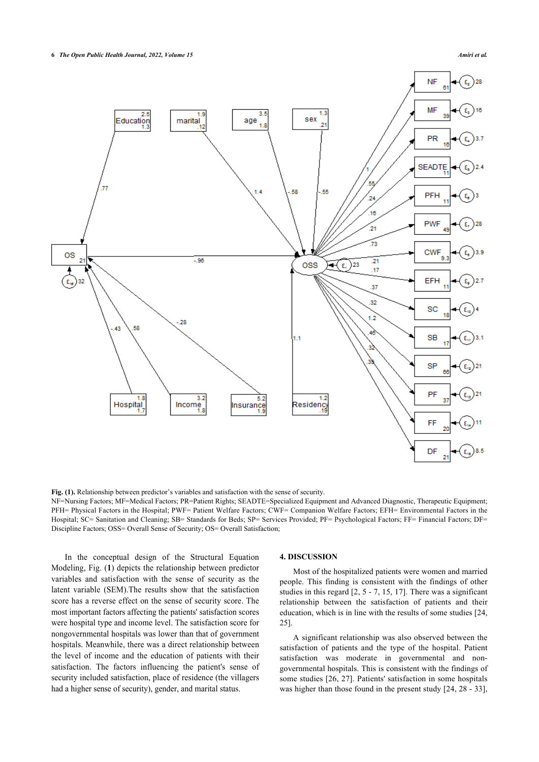

**Fig. (1).** Relationship between predictor's variables and satisfaction with the sense of security.

NF=Nursing Factors; MF=Medical Factors; PR=Patient Rights; SEADTE=Specialized Equipment and Advanced Diagnostic, Therapeutic Equipment; PFH= Physical Factors in the Hospital; PWF= Patient Welfare Factors; CWF= Companion Welfare Factors; EFH= Environmental Factors in the Hospital; SC= Sanitation and Cleaning; SB= Standards for Beds; SP= Services Provided; PF= Psychological Factors; FF= Financial Factors; DF= Discipline Factors; OSS= Overall Sense of Security; OS= Overall Satisfaction;

In the conceptual design of the Structural Equation Modeling, Fig. (**[1](#page-4-1)**) depicts the relationship between predictor variables and satisfaction with the sense of security as the latent variable (SEM).The results show that the satisfaction score has a reverse effect on the sense of security score. The most important factors affecting the patients' satisfaction scores were hospital type and income level. The satisfaction score for nongovernmental hospitals was lower than that of government hospitals. Meanwhile, there was a direct relationship between the level of income and the education of patients with their satisfaction. The factors influencing the patient's sense of security included satisfaction, place of residence (the villagers had a higher sense of security), gender, and marital status.

#### **4. DISCUSSION**

Most of the hospitalized patients were women and married people. This finding is consistent with the findings of other studies in this regard [[2,](#page-7-15) [5](#page-7-3) - [7](#page-7-4), [15](#page-7-13), [17](#page-7-16)]. There was a significant relationship between the satisfaction of patients and their education, which is in line with the results of some studies [\[24](#page-7-19), [25\]](#page-7-20).

A significant relationship was also observed between the satisfaction of patients and the type of the hospital. Patient satisfaction was moderate in governmental and nongovernmental hospitals. This is consistent with the findings of some studies [[26](#page-7-21), [27](#page-7-22)]. Patients' satisfaction in some hospitals was higher than those found in the present study [[24](#page-7-19), [28](#page-7-23) - [33](#page-8-0)],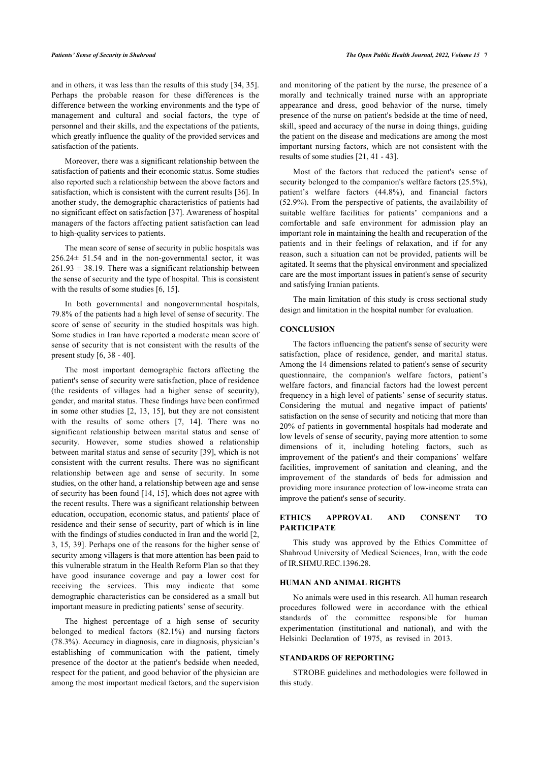Moreover, there was a significant relationship between the satisfaction of patients and their economic status. Some studies also reported such a relationship between the above factors and satisfaction, which is consistent with the current results [\[36](#page-8-3)]. In another study, the demographic characteristics of patients had no significant effect on satisfaction [\[37](#page-8-4)]. Awareness of hospital managers of the factors affecting patient satisfaction can lead to high-quality services to patients.

The mean score of sense of security in public hospitals was 256.24± 51.54 and in the non-governmental sector, it was  $261.93 \pm 38.19$ . There was a significant relationship between the sense of security and the type of hospital. This is consistent with the results of some studies [\[6,](#page-7-5) [15](#page-7-13)].

In both governmental and nongovernmental hospitals, 79.8% of the patients had a high level of sense of security. The score of sense of security in the studied hospitals was high. Some studies in Iran have reported a moderate mean score of sense of security that is not consistent with the results of the present study [[6](#page-7-5), [38](#page-8-5) - [40](#page-8-6)].

The most important demographic factors affecting the patient's sense of security were satisfaction, place of residence (the residents of villages had a higher sense of security), gender, and marital status. These findings have been confirmed in some other studies [[2](#page-7-15), [13,](#page-7-10) [15\]](#page-7-13), but they are not consistent with the results of some others [\[7](#page-7-4), [14](#page-7-11)]. There was no significant relationship between marital status and sense of security. However, some studies showed a relationship between marital status and sense of security [\[39](#page-8-7)], which is not consistent with the current results. There was no significant relationship between age and sense of security. In some studies, on the other hand, a relationship between age and sense of security has been found [\[14](#page-7-11), [15](#page-7-13)], which does not agree with the recent results. There was a significant relationship between education, occupation, economic status, and patients' place of residence and their sense of security, part of which is in line with the findings of studies conducted in Iran and the world [[2](#page-7-15), [3](#page-7-1), [15,](#page-7-13) [39](#page-8-7)]. Perhaps one of the reasons for the higher sense of security among villagers is that more attention has been paid to this vulnerable stratum in the Health Reform Plan so that they have good insurance coverage and pay a lower cost for receiving the services. This may indicate that some demographic characteristics can be considered as a small but important measure in predicting patients' sense of security.

The highest percentage of a high sense of security belonged to medical factors (82.1%) and nursing factors (78.3%). Accuracy in diagnosis, care in diagnosis, physician's establishing of communication with the patient, timely presence of the doctor at the patient's bedside when needed, respect for the patient, and good behavior of the physician are among the most important medical factors, and the supervision

and monitoring of the patient by the nurse, the presence of a morally and technically trained nurse with an appropriate appearance and dress, good behavior of the nurse, timely presence of the nurse on patient's bedside at the time of need, skill, speed and accuracy of the nurse in doing things, guiding the patient on the disease and medications are among the most important nursing factors, which are not consistent with the results of some studies [[21,](#page-7-1) [41](#page-8-8) - [43\]](#page-8-9).

Most of the factors that reduced the patient's sense of security belonged to the companion's welfare factors  $(25.5\%)$ , patient's welfare factors (44.8%), and financial factors (52.9%). From the perspective of patients, the availability of suitable welfare facilities for patients' companions and a comfortable and safe environment for admission play an important role in maintaining the health and recuperation of the patients and in their feelings of relaxation, and if for any reason, such a situation can not be provided, patients will be agitated. It seems that the physical environment and specialized care are the most important issues in patient's sense of security and satisfying Iranian patients.

The main limitation of this study is cross sectional study design and limitation in the hospital number for evaluation.

# **CONCLUSION**

The factors influencing the patient's sense of security were satisfaction, place of residence, gender, and marital status. Among the 14 dimensions related to patient's sense of security questionnaire, the companion's welfare factors, patient's welfare factors, and financial factors had the lowest percent frequency in a high level of patients' sense of security status. Considering the mutual and negative impact of patients' satisfaction on the sense of security and noticing that more than 20% of patients in governmental hospitals had moderate and low levels of sense of security, paying more attention to some dimensions of it, including hoteling factors, such as improvement of the patient's and their companions' welfare facilities, improvement of sanitation and cleaning, and the improvement of the standards of beds for admission and providing more insurance protection of low-income strata can improve the patient's sense of security.

# **ETHICS APPROVAL AND CONSENT TO PARTICIPATE**

This study was approved by the Ethics Committee of Shahroud University of Medical Sciences, Iran, with the code of IR.SHMU.REC.1396.28.

# **HUMAN AND ANIMAL RIGHTS**

No animals were used in this research. All human research procedures followed were in accordance with the ethical standards of the committee responsible for human experimentation (institutional and national), and with the Helsinki Declaration of 1975, as revised in 2013.

# **STANDARDS OF REPORTING**

STROBE guidelines and methodologies were followed in this study.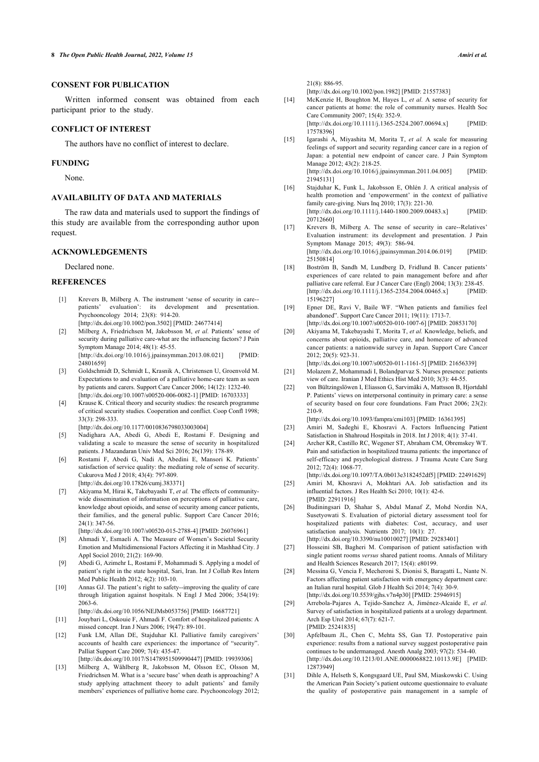# **CONSENT FOR PUBLICATION**

<span id="page-7-11"></span>Written informed consent was obtained from each participant prior to the study.

#### <span id="page-7-13"></span>**CONFLICT OF INTEREST**

The authors have no conflict of interest to declare.

# **FUNDING**

None.

#### **AVAILABILITY OF DATA AND MATERIALS**

<span id="page-7-16"></span>The raw data and materials used to support the findings of this study are available from the corresponding author upon request.

# **ACKNOWLEDGEMENTS**

Declared none.

# <span id="page-7-0"></span>**REFERENCES**

- [1] Krevers B, Milberg A. The instrument 'sense of security in care- patients' evaluation': its development and presentation. Psychooncology 2014; 23(8): 914-20. [\[http://dx.doi.org/10.1002/pon.3502](http://dx.doi.org/10.1002/pon.3502)] [PMID: [24677414](http://www.ncbi.nlm.nih.gov/pubmed/24677414)]
- <span id="page-7-15"></span><span id="page-7-14"></span>[2] Milberg A, Friedrichsen M, Jakobsson M, *et al.* Patients' sense of security during palliative care-what are the influencing factors? J Pain Symptom Manage 2014; 48(1): 45-55. [\[http://dx.doi.org/10.1016/j.jpainsymman.2013.08.021\]](http://dx.doi.org/10.1016/j.jpainsymman.2013.08.021) [PMID: [24801659\]](http://www.ncbi.nlm.nih.gov/pubmed/24801659)
- <span id="page-7-1"></span>[3] Goldschmidt D, Schmidt L, Krasnik A, Christensen U, Groenvold M. Expectations to and evaluation of a palliative home-care team as seen by patients and carers. Support Care Cancer 2006; 14(12): 1232-40. [\[http://dx.doi.org/10.1007/s00520-006-0082-1](http://dx.doi.org/10.1007/s00520-006-0082-1)] [PMID: [16703333\]](http://www.ncbi.nlm.nih.gov/pubmed/16703333)
- <span id="page-7-17"></span><span id="page-7-2"></span>[4] Krause K. Critical theory and security studies: the research programme of critical security studies. Cooperation and conflict. Coop Confl 1998; 33(3): 298-333.

[\[http://dx.doi.org/10.1177/0010836798033003004\]](http://dx.doi.org/10.1177/0010836798033003004)

- <span id="page-7-19"></span><span id="page-7-18"></span><span id="page-7-3"></span>[5] Nadighara AA, Abedi G, Abedi E, Rostami F. Designing and validating a scale to measure the sense of security in hospitalized patients. J Mazandaran Univ Med Sci 2016; 26(139): 178-89.
- <span id="page-7-5"></span>[6] Rostami F, Abedi G, Nadi A, Abedini E, Mansori K. Patients' satisfaction of service quality: the mediating role of sense of security. Cukurova Med J 2018; 43(4): 797-809. [\[http://dx.doi.org/10.17826/cumj.383371](http://dx.doi.org/10.17826/cumj.383371)]
- <span id="page-7-21"></span><span id="page-7-20"></span><span id="page-7-4"></span>[7] Akiyama M, Hirai K, Takebayashi T, *et al.* The effects of communitywide dissemination of information on perceptions of palliative care, knowledge about opioids, and sense of security among cancer patients, their families, and the general public. Support Care Cancer 2016; 24(1): 347-56.

[\[http://dx.doi.org/10.1007/s00520-015-2788-4](http://dx.doi.org/10.1007/s00520-015-2788-4)] [PMID: [26076961\]](http://www.ncbi.nlm.nih.gov/pubmed/26076961)

- <span id="page-7-22"></span><span id="page-7-6"></span>[8] Ahmadi Y, Esmaeli A. The Measure of Women's Societal Security Emotion and Multidimensional Factors Affecting it in Mashhad City. J Appl Sociol 2010; 21(2): 169-90.
- <span id="page-7-7"></span>[9] Abedi G, Azimehr L, Rostami F, Mohammadi S. Applying a model of patient's right in the state hospital, Sari, Iran. Int J Collab Res Intern Med Public Health 2012; 4(2): 103-10.
- <span id="page-7-23"></span><span id="page-7-8"></span>[10] Annas GJ. The patient's right to safety--improving the quality of care through litigation against hospitals. N Engl J Med 2006; 354(19): 2063-6.

[\[http://dx.doi.org/10.1056/NEJMsb053756\]](http://dx.doi.org/10.1056/NEJMsb053756) [PMID: [16687721](http://www.ncbi.nlm.nih.gov/pubmed/16687721)]

- <span id="page-7-9"></span>[11] Jouybari L, Oskouie F, Ahmadi F. Comfort of hospitalized patients: A missed concept. Iran J Nurs 2006; 19(47): 89-101.
- <span id="page-7-12"></span>[12] Funk LM, Allan DE, Stajduhar KI. Palliative family caregivers' accounts of health care experiences: the importance of "security". Palliat Support Care 2009; 7(4): 435-47.

<span id="page-7-10"></span>[\[http://dx.doi.org/10.1017/S1478951509990447](http://dx.doi.org/10.1017/S1478951509990447)] [PMID: [19939306\]](http://www.ncbi.nlm.nih.gov/pubmed/19939306) [13] Milberg A, Wåhlberg R, Jakobsson M, Olsson EC, Olsson M,

Friedrichsen M. What is a 'secure base' when death is approaching? A study applying attachment theory to adult patients' and family members' experiences of palliative home care. Psychooncology 2012; 21(8): 886-95.

[\[http://dx.doi.org/10.1002/pon.1982\]](http://dx.doi.org/10.1002/pon.1982) [PMID: [21557383](http://www.ncbi.nlm.nih.gov/pubmed/21557383)]

[14] McKenzie H, Boughton M, Hayes L, *et al.* A sense of security for cancer patients at home: the role of community nurses. Health Soc Care Community 2007; 15(4): 352-9.

[\[http://dx.doi.org/10.1111/j.1365-2524.2007.00694.x\]](http://dx.doi.org/10.1111/j.1365-2524.2007.00694.x) [PMID: [17578396\]](http://www.ncbi.nlm.nih.gov/pubmed/17578396)

[15] Igarashi A, Miyashita M, Morita T, *et al.* A scale for measuring feelings of support and security regarding cancer care in a region of Japan: a potential new endpoint of cancer care. J Pain Symptom Manage 2012: 43(2): 218-25. [\[http://dx.doi.org/10.1016/j.jpainsymman.2011.04.005\]](http://dx.doi.org/10.1016/j.jpainsymman.2011.04.005) [PMID:

[21945131\]](http://www.ncbi.nlm.nih.gov/pubmed/21945131)

- [16] Stajduhar K, Funk L, Jakobsson E, Ohlén J. A critical analysis of health promotion and 'empowerment' in the context of palliative family care-giving. Nurs Inq 2010; 17(3): 221-30. [\[http://dx.doi.org/10.1111/j.1440-1800.2009.00483.x\]](http://dx.doi.org/10.1111/j.1440-1800.2009.00483.x) [PMID: [20712660\]](http://www.ncbi.nlm.nih.gov/pubmed/20712660)
- [17] Krevers B, Milberg A. The sense of security in care--Relatives' Evaluation instrument: its development and presentation. J Pain Symptom Manage 2015; 49(3): 586-94.

[\[http://dx.doi.org/10.1016/j.jpainsymman.2014.06.019\]](http://dx.doi.org/10.1016/j.jpainsymman.2014.06.019) [PMID: [25150814\]](http://www.ncbi.nlm.nih.gov/pubmed/25150814)

- [18] Boström B, Sandh M, Lundberg D, Fridlund B. Cancer patients' experiences of care related to pain management before and after palliative care referral. Eur J Cancer Care (Engl) 2004; 13(3): 238-45. [\[http://dx.doi.org/10.1111/j.1365-2354.2004.00465.x\]](http://dx.doi.org/10.1111/j.1365-2354.2004.00465.x) [PMID: [15196227\]](http://www.ncbi.nlm.nih.gov/pubmed/15196227)
- [19] Epner DE, Ravi V, Baile WF. "When patients and families feel abandoned". Support Care Cancer 2011; 19(11): 1713-7. [\[http://dx.doi.org/10.1007/s00520-010-1007-6\]](http://dx.doi.org/10.1007/s00520-010-1007-6) [PMID: [20853170](http://www.ncbi.nlm.nih.gov/pubmed/20853170)]
- [20] Akiyama M, Takebayashi T, Morita T, *et al.* Knowledge, beliefs, and concerns about opioids, palliative care, and homecare of advanced cancer patients: a nationwide survey in Japan. Support Care Cancer 2012; 20(5): 923-31.
- [\[http://dx.doi.org/10.1007/s00520-011-1161-5\]](http://dx.doi.org/10.1007/s00520-011-1161-5) [PMID: [21656339](http://www.ncbi.nlm.nih.gov/pubmed/21656339)] [21] Molazem Z, Mohammadi I, Bolandparvaz S. Nurses presence: patients view of care. Iranian J Med Ethics Hist Med 2010; 3(3): 44-55.
- [22] von Bültzingslöwen I, Eliasson G, Sarvimäki A, Mattsson B, Hjortdahl P. Patients' views on interpersonal continuity in primary care: a sense of security based on four core foundations. Fam Pract 2006; 23(2): 210-9.

[\[http://dx.doi.org/10.1093/fampra/cmi103](http://dx.doi.org/10.1093/fampra/cmi103)] [PMID: [16361395\]](http://www.ncbi.nlm.nih.gov/pubmed/16361395)

- [23] Amiri M, Sadeghi E, Khosravi A. Factors Influencing Patient Satisfaction in Shahroud Hospitals in 2018. Int J 2018; 4(1): 37-41.
- [24] Archer KR, Castillo RC, Wegener ST, Abraham CM, Obremskey WT. Pain and satisfaction in hospitalized trauma patients: the importance of self-efficacy and psychological distress. J Trauma Acute Care Surg 2012; 72(4): 1068-77.
- [\[http://dx.doi.org/10.1097/TA.0b013e3182452df5\]](http://dx.doi.org/10.1097/TA.0b013e3182452df5) [PMID: [22491629\]](http://www.ncbi.nlm.nih.gov/pubmed/22491629) [25] Amiri M, Khosravi A, Mokhtari AA. Job satisfaction and its influential factors. J Res Health Sci 2010; 10(1): 42-6. [PMID: [22911916\]](http://www.ncbi.nlm.nih.gov/pubmed/22911916)
- [26] Budiningsari D, Shahar S, Abdul Manaf Z, Mohd Nordin NA, Susetyowati S. Evaluation of pictorial dietary assessment tool for hospitalized patients with diabetes: Cost, accuracy, and user satisfaction analysis. Nutrients 2017; 10(1): 27. [\[http://dx.doi.org/10.3390/nu10010027](http://dx.doi.org/10.3390/nu10010027)] [PMID: [29283401](http://www.ncbi.nlm.nih.gov/pubmed/29283401)]
- [27] Hosseini SB, Bagheri M. Comparison of patient satisfaction with single patient rooms *versus* shared patient rooms. Annals of Military and Health Sciences Research 2017; 15(4): e80199.
- [28] Messina G, Vencia F, Mecheroni S, Dionisi S, Baragatti L, Nante N. Factors affecting patient satisfaction with emergency department care: an Italian rural hospital. Glob J Health Sci 2014; 7(4): 30-9. [\[http://dx.doi.org/10.5539/gjhs.v7n4p30](http://dx.doi.org/10.5539/gjhs.v7n4p30)] [PMID: [25946915\]](http://www.ncbi.nlm.nih.gov/pubmed/25946915)
- [29] Arrebola-Pajares A, Tejido-Sanchez A, Jiménez-Alcaide E, *et al.* Survey of satisfaction in hospitalized patients at a urology department. Arch Esp Urol 2014; 67(7): 621-7. [PMID: [25241835\]](http://www.ncbi.nlm.nih.gov/pubmed/25241835)
- [30] Apfelbaum JL, Chen C, Mehta SS, Gan TJ. Postoperative pain experience: results from a national survey suggest postoperative pain continues to be undermanaged. Anesth Analg 2003; 97(2): 534-40. [\[http://dx.doi.org/10.1213/01.ANE.0000068822.10113.9E](http://dx.doi.org/10.1213/01.ANE.0000068822.10113.9E)] [PMID: [12873949\]](http://www.ncbi.nlm.nih.gov/pubmed/12873949)
- [31] Dihle A, Helseth S, Kongsgaard UE, Paul SM, Miaskowski C. Using the American Pain Society's patient outcome questionnaire to evaluate the quality of postoperative pain management in a sample of